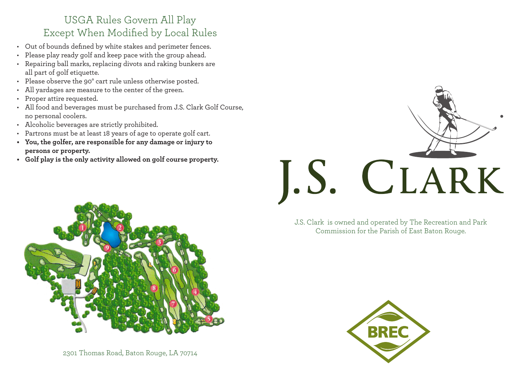## USGA Rules Govern All Play Except When Modified by Local Rules

- Out of bounds defined by white stakes and perimeter fences.
- Please play ready golf and keep pace with the group ahead.
- Repairing ball marks, replacing divots and raking bunkers are all part of golf etiquette.
- Please observe the 90° cart rule unless otherwise posted.
- All yardages are measure to the center of the green.
- Proper attire requested.
- All food and beverages must be purchased from J.S. Clark Golf Course, no personal coolers.
- Alcoholic beverages are strictly prohibited.
- Partrons must be at least 18 years of age to operate golf cart.
- **• You, the golfer, are responsible for any damage or injury to persons or property.**
- **• Golf play is the only activity allowed on golf course property.**



J.S. Clark is owned and operated by The Recreation and Park Commission for the Parish of East Baton Rouge.



2301 Thomas Road, Baton Rouge, LA 70714